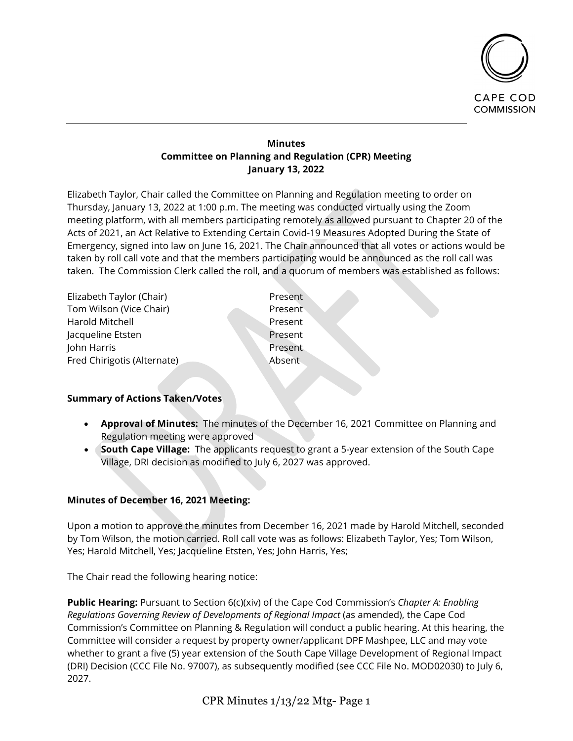

# **Minutes Committee on Planning and Regulation (CPR) Meeting January 13, 2022**

Elizabeth Taylor, Chair called the Committee on Planning and Regulation meeting to order on Thursday, January 13, 2022 at 1:00 p.m. The meeting was conducted virtually using the Zoom meeting platform, with all members participating remotely as allowed pursuant to Chapter 20 of the Acts of 2021, an Act Relative to Extending Certain Covid-19 Measures Adopted During the State of Emergency, signed into law on June 16, 2021. The Chair announced that all votes or actions would be taken by roll call vote and that the members participating would be announced as the roll call was taken. The Commission Clerk called the roll, and a quorum of members was established as follows:

| Elizabeth Taylor (Chair)    | Present       |
|-----------------------------|---------------|
| Tom Wilson (Vice Chair)     | Present       |
| Harold Mitchell             | Present       |
| Jacqueline Etsten           | Present       |
| John Harris                 | Present       |
| Fred Chirigotis (Alternate) | <b>Absent</b> |
|                             |               |

# **Summary of Actions Taken/Votes**

- **Approval of Minutes:** The minutes of the December 16, 2021 Committee on Planning and Regulation meeting were approved
- **South Cape Village:** The applicants request to grant a 5-year extension of the South Cape Village, DRI decision as modified to July 6, 2027 was approved.

# **Minutes of December 16, 2021 Meeting:**

Upon a motion to approve the minutes from December 16, 2021 made by Harold Mitchell, seconded by Tom Wilson, the motion carried. Roll call vote was as follows: Elizabeth Taylor, Yes; Tom Wilson, Yes; Harold Mitchell, Yes; Jacqueline Etsten, Yes; John Harris, Yes;

The Chair read the following hearing notice:

**Public Hearing:** Pursuant to Section 6(c)(xiv) of the Cape Cod Commission's *Chapter A: Enabling Regulations Governing Review of Developments of Regional Impact* (as amended), the Cape Cod Commission's Committee on Planning & Regulation will conduct a public hearing. At this hearing, the Committee will consider a request by property owner/applicant DPF Mashpee, LLC and may vote whether to grant a five (5) year extension of the South Cape Village Development of Regional Impact (DRI) Decision (CCC File No. 97007), as subsequently modified (see CCC File No. MOD02030) to July 6, 2027.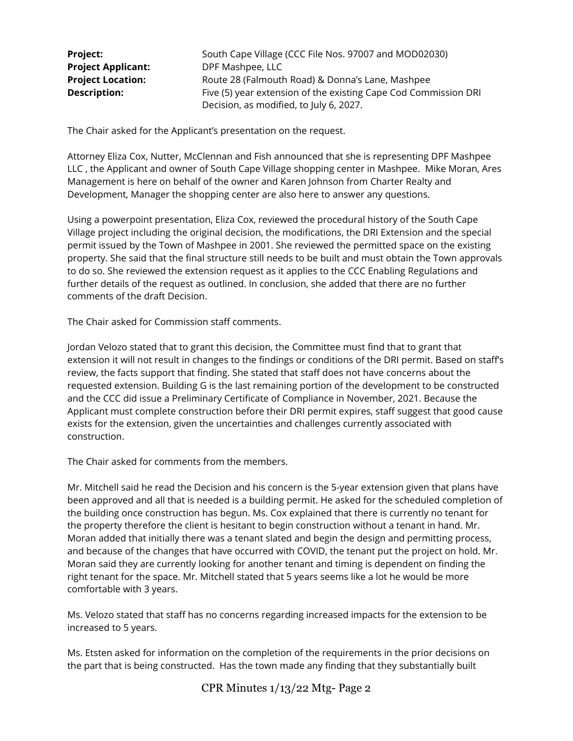| <b>Project:</b>           | South Cape Village (CCC File Nos. 97007 and MOD02030)           |
|---------------------------|-----------------------------------------------------------------|
| <b>Project Applicant:</b> | DPF Mashpee, LLC                                                |
| <b>Project Location:</b>  | Route 28 (Falmouth Road) & Donna's Lane, Mashpee                |
| <b>Description:</b>       | Five (5) year extension of the existing Cape Cod Commission DRI |
|                           | Decision, as modified, to July 6, 2027.                         |

The Chair asked for the Applicant's presentation on the request.

Attorney Eliza Cox, Nutter, McClennan and Fish announced that she is representing DPF Mashpee LLC , the Applicant and owner of South Cape Village shopping center in Mashpee. Mike Moran, Ares Management is here on behalf of the owner and Karen Johnson from Charter Realty and Development, Manager the shopping center are also here to answer any questions.

Using a powerpoint presentation, Eliza Cox, reviewed the procedural history of the South Cape Village project including the original decision, the modifications, the DRI Extension and the special permit issued by the Town of Mashpee in 2001. She reviewed the permitted space on the existing property. She said that the final structure still needs to be built and must obtain the Town approvals to do so. She reviewed the extension request as it applies to the CCC Enabling Regulations and further details of the request as outlined. In conclusion, she added that there are no further comments of the draft Decision.

The Chair asked for Commission staff comments.

Jordan Velozo stated that to grant this decision, the Committee must find that to grant that extension it will not result in changes to the findings or conditions of the DRI permit. Based on staff's review, the facts support that finding. She stated that staff does not have concerns about the requested extension. Building G is the last remaining portion of the development to be constructed and the CCC did issue a Preliminary Certificate of Compliance in November, 2021. Because the Applicant must complete construction before their DRI permit expires, staff suggest that good cause exists for the extension, given the uncertainties and challenges currently associated with construction.

The Chair asked for comments from the members.

Mr. Mitchell said he read the Decision and his concern is the 5-year extension given that plans have been approved and all that is needed is a building permit. He asked for the scheduled completion of the building once construction has begun. Ms. Cox explained that there is currently no tenant for the property therefore the client is hesitant to begin construction without a tenant in hand. Mr. Moran added that initially there was a tenant slated and begin the design and permitting process, and because of the changes that have occurred with COVID, the tenant put the project on hold. Mr. Moran said they are currently looking for another tenant and timing is dependent on finding the right tenant for the space. Mr. Mitchell stated that 5 years seems like a lot he would be more comfortable with 3 years.

Ms. Velozo stated that staff has no concerns regarding increased impacts for the extension to be increased to 5 years.

Ms. Etsten asked for information on the completion of the requirements in the prior decisions on the part that is being constructed. Has the town made any finding that they substantially built

CPR Minutes 1/13/22 Mtg- Page 2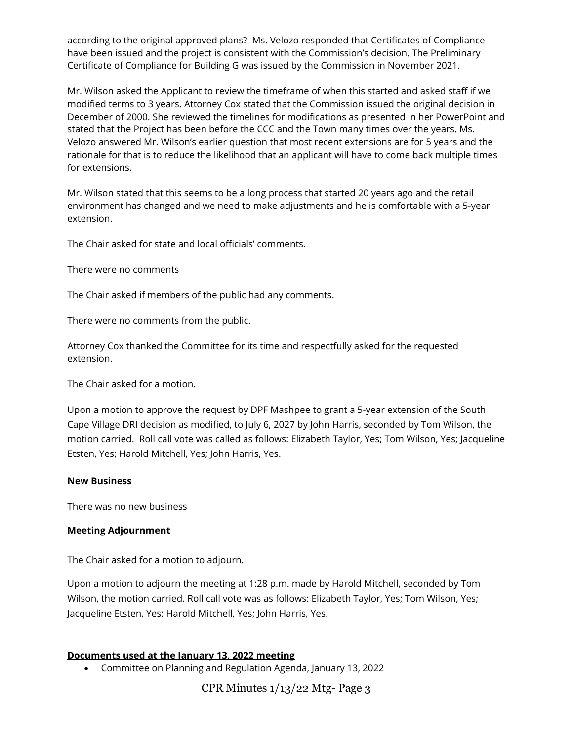according to the original approved plans? Ms. Velozo responded that Certificates of Compliance have been issued and the project is consistent with the Commission's decision. The Preliminary Certificate of Compliance for Building G was issued by the Commission in November 2021.

Mr. Wilson asked the Applicant to review the timeframe of when this started and asked staff if we modified terms to 3 years. Attorney Cox stated that the Commission issued the original decision in December of 2000. She reviewed the timelines for modifications as presented in her PowerPoint and stated that the Project has been before the CCC and the Town many times over the years. Ms. Velozo answered Mr. Wilson's earlier question that most recent extensions are for 5 years and the rationale for that is to reduce the likelihood that an applicant will have to come back multiple times for extensions.

Mr. Wilson stated that this seems to be a long process that started 20 years ago and the retail environment has changed and we need to make adjustments and he is comfortable with a 5-year extension.

The Chair asked for state and local officials' comments.

There were no comments

The Chair asked if members of the public had any comments.

There were no comments from the public.

Attorney Cox thanked the Committee for its time and respectfully asked for the requested extension.

The Chair asked for a motion.

Upon a motion to approve the request by DPF Mashpee to grant a 5-year extension of the South Cape Village DRI decision as modified, to July 6, 2027 by John Harris, seconded by Tom Wilson, the motion carried. Roll call vote was called as follows: Elizabeth Taylor, Yes; Tom Wilson, Yes; Jacqueline Etsten, Yes; Harold Mitchell, Yes; John Harris, Yes.

# **New Business**

There was no new business

# **Meeting Adjournment**

The Chair asked for a motion to adjourn.

Upon a motion to adjourn the meeting at 1:28 p.m. made by Harold Mitchell, seconded by Tom Wilson, the motion carried. Roll call vote was as follows: Elizabeth Taylor, Yes; Tom Wilson, Yes; Jacqueline Etsten, Yes; Harold Mitchell, Yes; John Harris, Yes.

# **Documents used at the January 13, 2022 meeting**

• Committee on Planning and Regulation Agenda, January 13, 2022

CPR Minutes 1/13/22 Mtg- Page 3